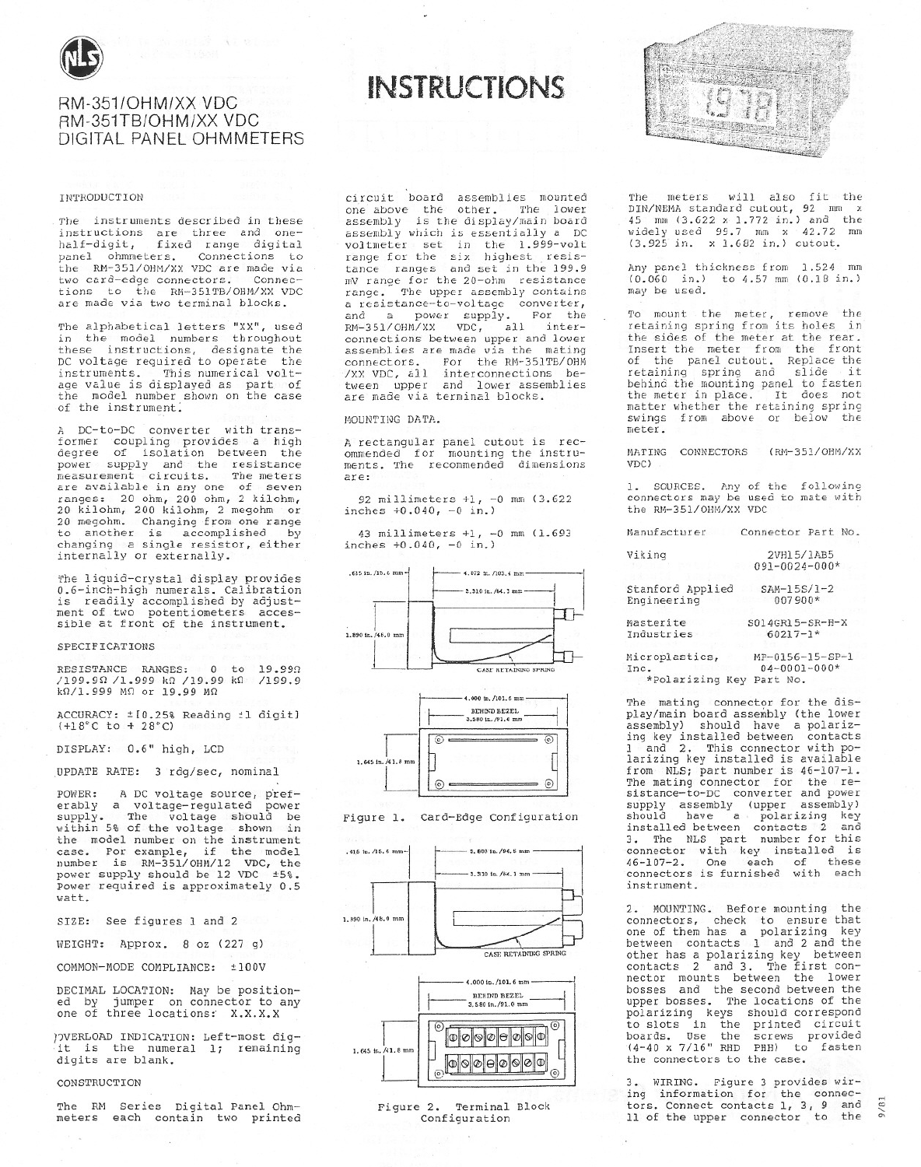

# RM-351/OHM/XX VDC RM-351TB/OHM/XX VDC DIGITAL PANEL OHMMETERS

一、 1、 12

#### **INTRODUCTION**

The instruments described in these instructions are three and one-<br>half-digit, fixed range digital panel ohmmeters. Connections to the RM-351/OHM/XX VDC are made via two card-edge connectors. Connec-<br>tions to the RM-351TB/OHM/XX VDC are made via two terminal blocks.

The alphabetical letters "XX", used in the model numbers throughout these instructions, designate the<br>DC voltage required to operate the instruments. This numerical voltand the same state of the model number of the model number shown on the case of the instrument.

A DC-to-DC converter with transformer coupling provides a high<br>degree of isolation between the power supply and the resistance<br>measurement circuits. The meters<br>are available in any one of seven ranges: 20 ohm, 200 ohm, 2 kilohm,<br>20 kilohm, 200 kilohm, 2 megohm or<br>20 megohm. Changing from one range to another is accomplished by changing a single resistor, either<br>internally or externally.

The liquid-crystal display provides<br>0.6-inch-high numerals. Calibration is readily accomplished by adjust-<br>ment of two potentiometers accessible at front of the instrument.

## SPECIFICATIONS

RESISTANCE RANGES: 0 to 19.990 /199.90 /1.999 k0 /19.99 k0 /199.9<br>k0/1.999 M0 or 19.99 M0 /199.9

ACCURACY: ± [0.25% Reading ±1 digit]  $(+18^{\circ}C \text{ to } + 28^{\circ}C)$ 

DISPLAY: 0.6" high, LCD

UPDATE RATE: 3 rdg/sec, nominal

A DC voltage source, pref-POWER: erably a voltage-regulated power<br>supply. The voltage should be within 5% of the voltage shown in the model number on the instrument case. For example, if the model<br>number is RM-351/OHM/12 VDC, the<br>power supply should be 12 VDC ±5%. Power required is approximately 0.5 watt.

SIZE: See figures 1 and 2

WEIGHT: Approx. 8 oz (227 g)

COMMON-MODE COMPLIANCE: ±100V

DECIMAL LOCATION: May be positioned by jumper on connector to any<br>one of three locations: X.X.X.X

)OVERLOAD INDICATION: Left-most digit is the numeral 1; remaining digits are blank.

#### CONSTRUCTION

The RM Series Digital Panel Ohmmeters each contain two printed circuit board assemblies mounted<br>one above the other. The lower<br>assembly is the display/main board assembly which is essentially a DC voltmeter set in the 1.999-volt<br>range for the six highest resis-<br>tance ranges and set in the 199.9 mV range for the 20-ohm resistance The upper assembly contains range. a resistance-to-voltage converter,<br>and a power supply. For the<br>RM-351/OHM/XX VDC, all interconnections between upper and lower assemblies are made via the mating connectors. For the RM-351TB/OHM /XX VDC, all interconnections between upper and lower assemblies are made via terminal blocks.

**INSTRUCTIONS** 

#### MOUNTING DATA.

A rectangular panel cutout is rec-<br>ommended for mounting the instru-<br>ments. The recommended dimensions are:

92 millimeters +1, -0 mm (3.622 inches  $+0.040, -0 in.$ )

43 millimeters +1, -0 mm (1.693 inches  $+0.040, -0 in.$ )









Figure 2. Terminal Block Configuration



meters will also fit the mhe DIN/NEMA standard cutout, 92 mm x<br>45 mm (3.622 x 1.772 in.) and the<br>widely used 99.7 mm x 42.72 mm (3.925 in. x 1.682 in.) cutout.

Any panel thickness from 1.524 mm<br>(0.060 in.) to 4.57 mm (0.18 in.) may be used.

To mount the meter, remove the<br>retaining spring from its holes in the sides of the meter at the rear. Insert the meter from the front reservative meteorial complete the reduction.<br>
of the panel cutout. Replace the<br>
retaining spring and slide it<br>
behind the mounting panel to fasten<br>
the meter in place. It does not the meter in place. It does not<br>matter whether the retaining spring swings from above or below the meter.

MATING CONNECTORS (RM-351/OHM/XX VDC)

1. SOURCES. Any of the following<br>connectors may be used to mate with the RM-351/OHM/XX VDC

Manufacturer Connector Part No.

| Viking                   | 2VH15/1AB5          |
|--------------------------|---------------------|
|                          | $091 - 0024 - 000*$ |
| Stanford Applied         | $SAM-15S/1-2$       |
| Engineering              | 007900*             |
| Masterite                | S014GR15-SR-H-X     |
| Industries               | $60217 - 1*$        |
| Microplastics,           | MP-0156-15-SP-1     |
| Inc.                     | $04 - 0001 - 000*$  |
| *Polarizing Key Part No. |                     |

The mating connector for the display/main board assembly (the lower<br>assembly) should have a polarizing key installed between contacts<br>1 and 2. This connector with polarizing key installed is available from NLS; part number is 46-107-1. The mating connector for the resistance-to-DC converter and power supply assembly (upper assembly)<br>should have a polarizing key<br>installed between contacts 2 and<br>3. The NLS part number for this connector with key installed is<br>46-107-2. One each of these<br>connectors is furnished with each instrument.

2. MOUNTING. Before mounting the<br>connectors, check to ensure that<br>one of them has a polarizing key<br>between contacts 1 and 2 and the other has a polarizing key between and 3. The first concontacts 2 nector mounts between the lower<br>bosses and the second between the upper bosses. The locations of the polarizing keys should correspond positions with the printed circuit<br>boards. Use the screws provided<br>(4-40 x 7/16" RHD PHH) to fasten the connectors to the case.

3. WIRING. Figure 3 provides wiring information for the connectors. Connect contacts 1, 3, 9 and 11 of the upper connector to the

 $9/8$